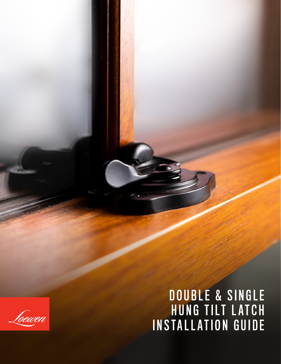

foewen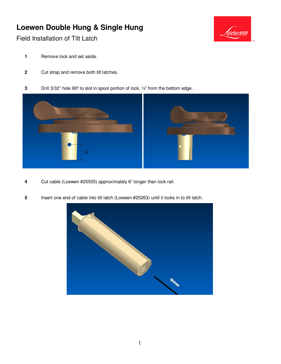## **Loewen Double Hung & Single Hung**



Field Installation of Tilt Latch

- Remove lock and set aside.
- Cut strap and remove both tilt latches.
- **3** Drill 3/32" hole 90<sup>°</sup> to slot in spool portion of lock, 1/2" from the bottom edge.



- Cut cable (Loewen #25505) approximately 6" longer than lock rail.
- Insert one end of cable into tilt latch (Loewen #25263) until it locks in to tilt latch.

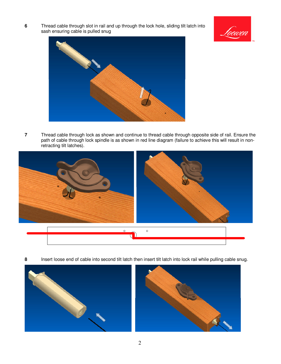**6** Thread cable through slot in rail and up through the lock hole, sliding tilt latch into sash ensuring cable is pulled snug





**7** Thread cable through lock as shown and continue to thread cable through opposite side of rail. Ensure the path of cable through lock spindle is as shown in red line diagram (failure to achieve this will result in nonretracting tilt latches).



**8** Insert loose end of cable into second tilt latch then insert tilt latch into lock rail while pulling cable snug.